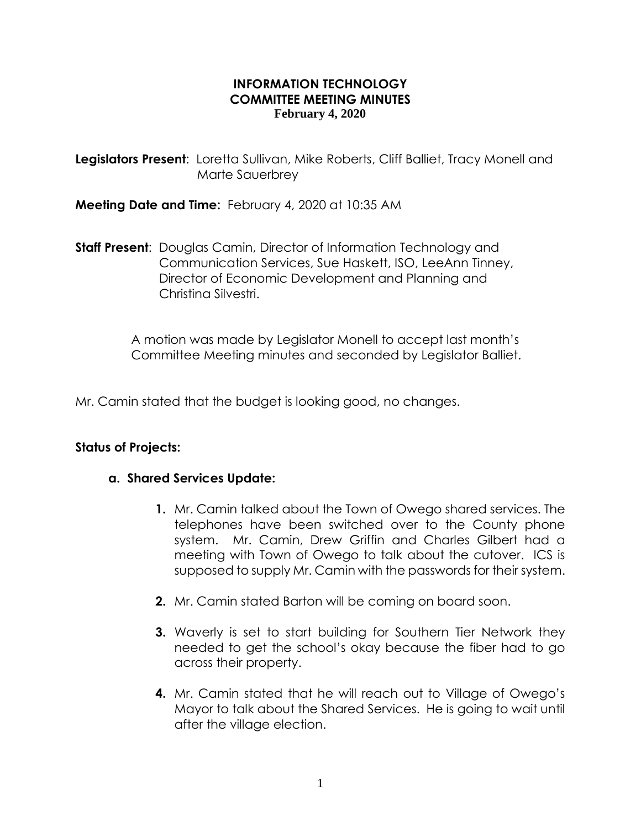### **INFORMATION TECHNOLOGY COMMITTEE MEETING MINUTES February 4, 2020**

**Legislators Present**: Loretta Sullivan, Mike Roberts, Cliff Balliet, Tracy Monell and Marte Sauerbrey

**Meeting Date and Time:** February 4, 2020 at 10:35 AM

**Staff Present**: Douglas Camin, Director of Information Technology and Communication Services, Sue Haskett, ISO, LeeAnn Tinney, Director of Economic Development and Planning and Christina Silvestri.

> A motion was made by Legislator Monell to accept last month's Committee Meeting minutes and seconded by Legislator Balliet.

Mr. Camin stated that the budget is looking good, no changes.

# **Status of Projects:**

#### **a. Shared Services Update:**

- **1.** Mr. Camin talked about the Town of Owego shared services. The telephones have been switched over to the County phone system. Mr. Camin, Drew Griffin and Charles Gilbert had a meeting with Town of Owego to talk about the cutover. ICS is supposed to supply Mr. Camin with the passwords for their system.
- **2.** Mr. Camin stated Barton will be coming on board soon.
- **3.** Waverly is set to start building for Southern Tier Network they needed to get the school's okay because the fiber had to go across their property.
- **4.** Mr. Camin stated that he will reach out to Village of Owego's Mayor to talk about the Shared Services. He is going to wait until after the village election.